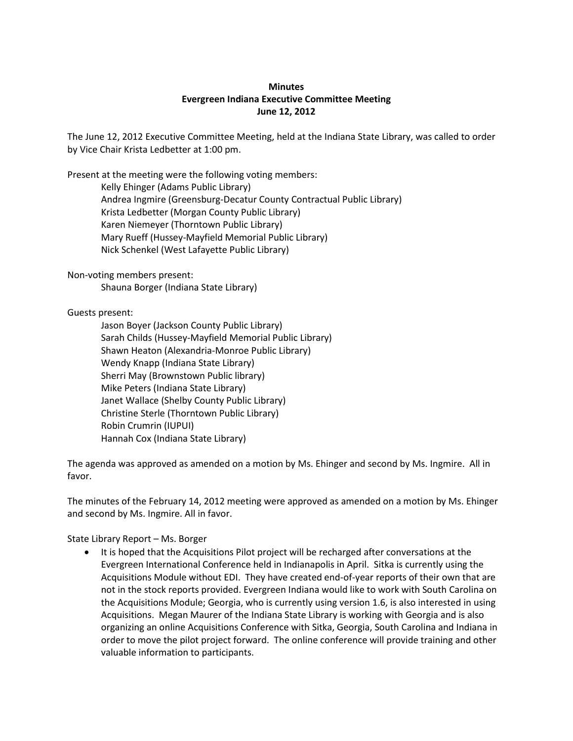## **Minutes Evergreen Indiana Executive Committee Meeting June 12, 2012**

The June 12, 2012 Executive Committee Meeting, held at the Indiana State Library, was called to order by Vice Chair Krista Ledbetter at 1:00 pm.

Present at the meeting were the following voting members:

Kelly Ehinger (Adams Public Library) Andrea Ingmire (Greensburg-Decatur County Contractual Public Library) Krista Ledbetter (Morgan County Public Library) Karen Niemeyer (Thorntown Public Library) Mary Rueff (Hussey-Mayfield Memorial Public Library) Nick Schenkel (West Lafayette Public Library)

Non-voting members present:

Shauna Borger (Indiana State Library)

Guests present:

Jason Boyer (Jackson County Public Library) Sarah Childs (Hussey-Mayfield Memorial Public Library) Shawn Heaton (Alexandria-Monroe Public Library) Wendy Knapp (Indiana State Library) Sherri May (Brownstown Public library) Mike Peters (Indiana State Library) Janet Wallace (Shelby County Public Library) Christine Sterle (Thorntown Public Library) Robin Crumrin (IUPUI) Hannah Cox (Indiana State Library)

The agenda was approved as amended on a motion by Ms. Ehinger and second by Ms. Ingmire. All in favor.

The minutes of the February 14, 2012 meeting were approved as amended on a motion by Ms. Ehinger and second by Ms. Ingmire. All in favor.

State Library Report – Ms. Borger

 It is hoped that the Acquisitions Pilot project will be recharged after conversations at the Evergreen International Conference held in Indianapolis in April. Sitka is currently using the Acquisitions Module without EDI. They have created end-of-year reports of their own that are not in the stock reports provided. Evergreen Indiana would like to work with South Carolina on the Acquisitions Module; Georgia, who is currently using version 1.6, is also interested in using Acquisitions. Megan Maurer of the Indiana State Library is working with Georgia and is also organizing an online Acquisitions Conference with Sitka, Georgia, South Carolina and Indiana in order to move the pilot project forward. The online conference will provide training and other valuable information to participants.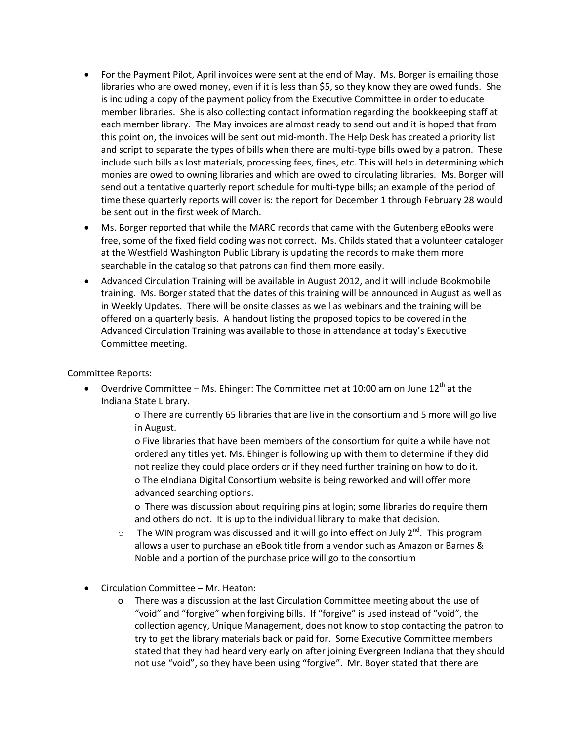- For the Payment Pilot, April invoices were sent at the end of May. Ms. Borger is emailing those libraries who are owed money, even if it is less than \$5, so they know they are owed funds. She is including a copy of the payment policy from the Executive Committee in order to educate member libraries. She is also collecting contact information regarding the bookkeeping staff at each member library. The May invoices are almost ready to send out and it is hoped that from this point on, the invoices will be sent out mid-month. The Help Desk has created a priority list and script to separate the types of bills when there are multi-type bills owed by a patron. These include such bills as lost materials, processing fees, fines, etc. This will help in determining which monies are owed to owning libraries and which are owed to circulating libraries. Ms. Borger will send out a tentative quarterly report schedule for multi-type bills; an example of the period of time these quarterly reports will cover is: the report for December 1 through February 28 would be sent out in the first week of March.
- Ms. Borger reported that while the MARC records that came with the Gutenberg eBooks were free, some of the fixed field coding was not correct. Ms. Childs stated that a volunteer cataloger at the Westfield Washington Public Library is updating the records to make them more searchable in the catalog so that patrons can find them more easily.
- Advanced Circulation Training will be available in August 2012, and it will include Bookmobile training. Ms. Borger stated that the dates of this training will be announced in August as well as in Weekly Updates. There will be onsite classes as well as webinars and the training will be offered on a quarterly basis. A handout listing the proposed topics to be covered in the Advanced Circulation Training was available to those in attendance at today's Executive Committee meeting.

Committee Reports:

Overdrive Committee – Ms. Ehinger: The Committee met at 10:00 am on June  $12<sup>th</sup>$  at the Indiana State Library.

> o There are currently 65 libraries that are live in the consortium and 5 more will go live in August.

o Five libraries that have been members of the consortium for quite a while have not ordered any titles yet. Ms. Ehinger is following up with them to determine if they did not realize they could place orders or if they need further training on how to do it. o The eIndiana Digital Consortium website is being reworked and will offer more advanced searching options.

o There was discussion about requiring pins at login; some libraries do require them and others do not. It is up to the individual library to make that decision.

- $\circ$  The WIN program was discussed and it will go into effect on July 2<sup>nd</sup>. This program allows a user to purchase an eBook title from a vendor such as Amazon or Barnes & Noble and a portion of the purchase price will go to the consortium
- Circulation Committee Mr. Heaton:
	- o There was a discussion at the last Circulation Committee meeting about the use of "void" and "forgive" when forgiving bills. If "forgive" is used instead of "void", the collection agency, Unique Management, does not know to stop contacting the patron to try to get the library materials back or paid for. Some Executive Committee members stated that they had heard very early on after joining Evergreen Indiana that they should not use "void", so they have been using "forgive". Mr. Boyer stated that there are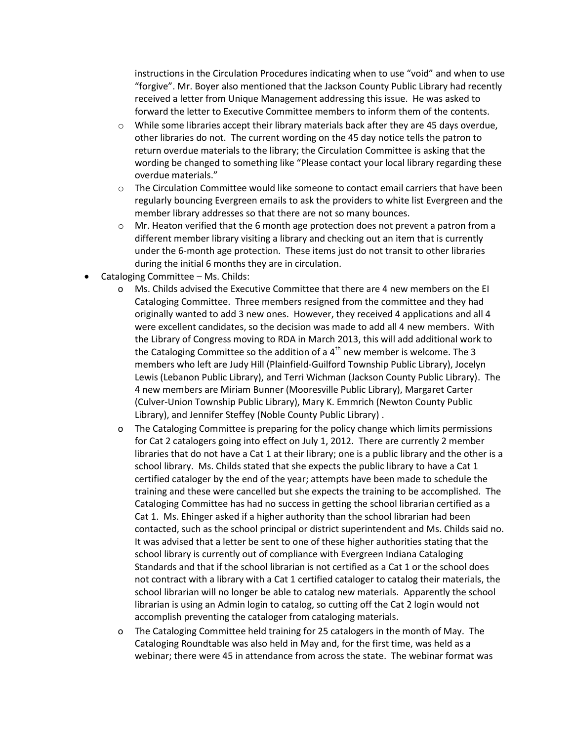instructions in the Circulation Procedures indicating when to use "void" and when to use "forgive". Mr. Boyer also mentioned that the Jackson County Public Library had recently received a letter from Unique Management addressing this issue. He was asked to forward the letter to Executive Committee members to inform them of the contents.

- $\circ$  While some libraries accept their library materials back after they are 45 days overdue, other libraries do not. The current wording on the 45 day notice tells the patron to return overdue materials to the library; the Circulation Committee is asking that the wording be changed to something like "Please contact your local library regarding these overdue materials."
- $\circ$  The Circulation Committee would like someone to contact email carriers that have been regularly bouncing Evergreen emails to ask the providers to white list Evergreen and the member library addresses so that there are not so many bounces.
- $\circ$  Mr. Heaton verified that the 6 month age protection does not prevent a patron from a different member library visiting a library and checking out an item that is currently under the 6-month age protection. These items just do not transit to other libraries during the initial 6 months they are in circulation.
- Cataloging Committee Ms. Childs:
	- o Ms. Childs advised the Executive Committee that there are 4 new members on the EI Cataloging Committee. Three members resigned from the committee and they had originally wanted to add 3 new ones. However, they received 4 applications and all 4 were excellent candidates, so the decision was made to add all 4 new members. With the Library of Congress moving to RDA in March 2013, this will add additional work to the Cataloging Committee so the addition of a  $4<sup>th</sup>$  new member is welcome. The 3 members who left are Judy Hill (Plainfield-Guilford Township Public Library), Jocelyn Lewis (Lebanon Public Library), and Terri Wichman (Jackson County Public Library). The 4 new members are Miriam Bunner (Mooresville Public Library), Margaret Carter (Culver-Union Township Public Library), Mary K. Emmrich (Newton County Public Library), and Jennifer Steffey (Noble County Public Library) .
	- o The Cataloging Committee is preparing for the policy change which limits permissions for Cat 2 catalogers going into effect on July 1, 2012. There are currently 2 member libraries that do not have a Cat 1 at their library; one is a public library and the other is a school library. Ms. Childs stated that she expects the public library to have a Cat 1 certified cataloger by the end of the year; attempts have been made to schedule the training and these were cancelled but she expects the training to be accomplished. The Cataloging Committee has had no success in getting the school librarian certified as a Cat 1. Ms. Ehinger asked if a higher authority than the school librarian had been contacted, such as the school principal or district superintendent and Ms. Childs said no. It was advised that a letter be sent to one of these higher authorities stating that the school library is currently out of compliance with Evergreen Indiana Cataloging Standards and that if the school librarian is not certified as a Cat 1 or the school does not contract with a library with a Cat 1 certified cataloger to catalog their materials, the school librarian will no longer be able to catalog new materials. Apparently the school librarian is using an Admin login to catalog, so cutting off the Cat 2 login would not accomplish preventing the cataloger from cataloging materials.
	- o The Cataloging Committee held training for 25 catalogers in the month of May. The Cataloging Roundtable was also held in May and, for the first time, was held as a webinar; there were 45 in attendance from across the state. The webinar format was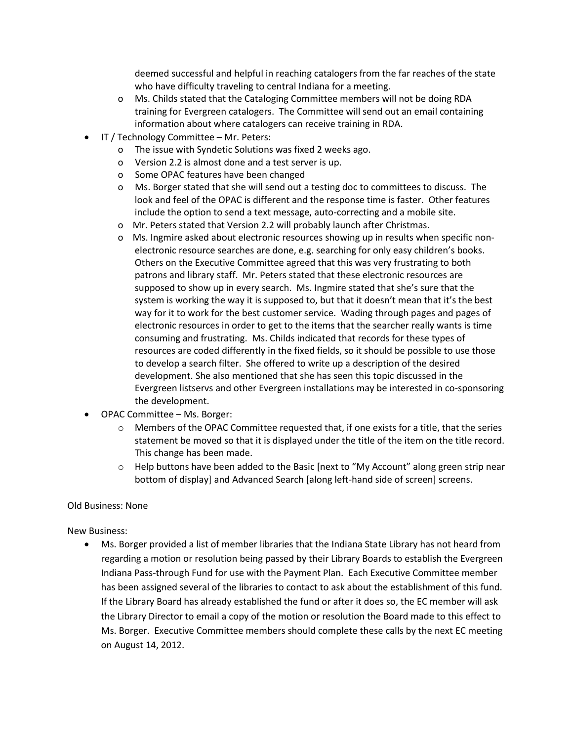deemed successful and helpful in reaching catalogers from the far reaches of the state who have difficulty traveling to central Indiana for a meeting.

- o Ms. Childs stated that the Cataloging Committee members will not be doing RDA training for Evergreen catalogers. The Committee will send out an email containing information about where catalogers can receive training in RDA.
- IT / Technology Committee Mr. Peters:
	- o The issue with Syndetic Solutions was fixed 2 weeks ago.
	- o Version 2.2 is almost done and a test server is up.
	- o Some OPAC features have been changed
	- o Ms. Borger stated that she will send out a testing doc to committees to discuss. The look and feel of the OPAC is different and the response time is faster. Other features include the option to send a text message, auto-correcting and a mobile site.
	- o Mr. Peters stated that Version 2.2 will probably launch after Christmas.
	- o Ms. Ingmire asked about electronic resources showing up in results when specific nonelectronic resource searches are done, e.g. searching for only easy children's books. Others on the Executive Committee agreed that this was very frustrating to both patrons and library staff. Mr. Peters stated that these electronic resources are supposed to show up in every search. Ms. Ingmire stated that she's sure that the system is working the way it is supposed to, but that it doesn't mean that it's the best way for it to work for the best customer service. Wading through pages and pages of electronic resources in order to get to the items that the searcher really wants is time consuming and frustrating. Ms. Childs indicated that records for these types of resources are coded differently in the fixed fields, so it should be possible to use those to develop a search filter. She offered to write up a description of the desired development. She also mentioned that she has seen this topic discussed in the Evergreen listservs and other Evergreen installations may be interested in co-sponsoring the development.
- OPAC Committee Ms. Borger:
	- $\circ$  Members of the OPAC Committee requested that, if one exists for a title, that the series statement be moved so that it is displayed under the title of the item on the title record. This change has been made.
	- $\circ$  Help buttons have been added to the Basic [next to "My Account" along green strip near bottom of display] and Advanced Search [along left-hand side of screen] screens.

## Old Business: None

## New Business:

 Ms. Borger provided a list of member libraries that the Indiana State Library has not heard from regarding a motion or resolution being passed by their Library Boards to establish the Evergreen Indiana Pass-through Fund for use with the Payment Plan. Each Executive Committee member has been assigned several of the libraries to contact to ask about the establishment of this fund. If the Library Board has already established the fund or after it does so, the EC member will ask the Library Director to email a copy of the motion or resolution the Board made to this effect to Ms. Borger. Executive Committee members should complete these calls by the next EC meeting on August 14, 2012.